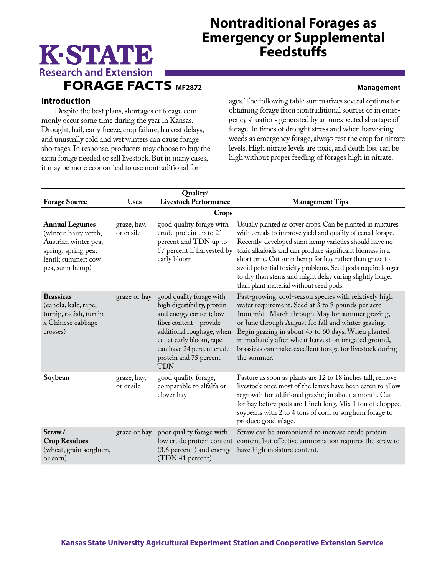# **Nontraditional Forages as Emergency or Supplemental Feedstuffs**

# **Research and Extension FORAGE FACTS MF2872 Management**

K-STATE

## **Introduction**

Despite the best plans, shortages of forage commonly occur some time during the year in Kansas. Drought, hail, early freeze, crop failure, harvest delays, and unusually cold and wet winters can cause forage shortages. In response, producers may choose to buy the extra forage needed or sell livestock. But in many cases, it may be more economical to use nontraditional forages. The following table summarizes several options for obtaining forage from nontraditional sources or in emergency situations generated by an unexpected shortage of forage. In times of drought stress and when harvesting weeds as emergency forage, always test the crop for nitrate levels. High nitrate levels are toxic, and death loss can be high without proper feeding of forages high in nitrate.

| Quality/                                                                                                                                |                          |                                                                                                                                                                                                                                             |                                                                                                                                                                                                                                                                                                                                                                                                                                                                               |  |  |  |  |
|-----------------------------------------------------------------------------------------------------------------------------------------|--------------------------|---------------------------------------------------------------------------------------------------------------------------------------------------------------------------------------------------------------------------------------------|-------------------------------------------------------------------------------------------------------------------------------------------------------------------------------------------------------------------------------------------------------------------------------------------------------------------------------------------------------------------------------------------------------------------------------------------------------------------------------|--|--|--|--|
| <b>Forage Source</b>                                                                                                                    | <b>Uses</b>              | <b>Livestock Performance</b>                                                                                                                                                                                                                | <b>Management Tips</b>                                                                                                                                                                                                                                                                                                                                                                                                                                                        |  |  |  |  |
| Crops                                                                                                                                   |                          |                                                                                                                                                                                                                                             |                                                                                                                                                                                                                                                                                                                                                                                                                                                                               |  |  |  |  |
| <b>Annual Legumes</b><br>(winter: hairy vetch,<br>Austrian winter pea;<br>spring: spring pea,<br>lentil; summer: cow<br>pea, sunn hemp) | graze, hay,<br>or ensile | good quality forage with<br>crude protein up to 21<br>percent and TDN up to<br>57 percent if harvested by<br>early bloom                                                                                                                    | Usually planted as cover crops. Can be planted in mixtures<br>with cereals to improve yield and quality of cereal forage.<br>Recently-developed sunn hemp varieties should have no<br>toxic alkaloids and can produce significant biomass in a<br>short time. Cut sunn hemp for hay rather than graze to<br>avoid potential toxicity problems. Seed pods require longer<br>to dry than stems and might delay curing slightly longer<br>than plant material without seed pods. |  |  |  |  |
| <b>Brassicas</b><br>(canola, kale, rape,<br>turnip, radish, turnip<br>x Chinese cabbage<br>crosses)                                     | graze or hay             | good quality forage with<br>high digestibility, protein<br>and energy content; low<br>fiber content - provide<br>additional roughage; when<br>cut at early bloom, rape<br>can have 24 percent crude<br>protein and 75 percent<br><b>TDN</b> | Fast-growing, cool-season species with relatively high<br>water requirement. Seed at 3 to 8 pounds per acre<br>from mid- March through May for summer grazing,<br>or June through August for fall and winter grazing.<br>Begin grazing in about 45 to 60 days. When planted<br>immediately after wheat harvest on irrigated ground,<br>brassicas can make excellent forage for livestock during<br>the summer.                                                                |  |  |  |  |
| Soybean                                                                                                                                 | graze, hay,<br>or ensile | good quality forage,<br>comparable to alfalfa or<br>clover hay                                                                                                                                                                              | Pasture as soon as plants are 12 to 18 inches tall; remove<br>livestock once most of the leaves have been eaten to allow<br>regrowth for additional grazing in about a month. Cut<br>for hay before pods are 1 inch long. Mix 1 ton of chopped<br>soybeans with 2 to 4 tons of corn or sorghum forage to<br>produce good silage.                                                                                                                                              |  |  |  |  |
| Straw/<br><b>Crop Residues</b><br>(wheat, grain sorghum,<br>or corn)                                                                    |                          | graze or hay poor quality forage with<br>low crude protein content<br>(3.6 percent) and energy<br>(TDN 41 percent)                                                                                                                          | Straw can be ammoniated to increase crude protein<br>content, but effective ammoniation requires the straw to<br>have high moisture content.                                                                                                                                                                                                                                                                                                                                  |  |  |  |  |